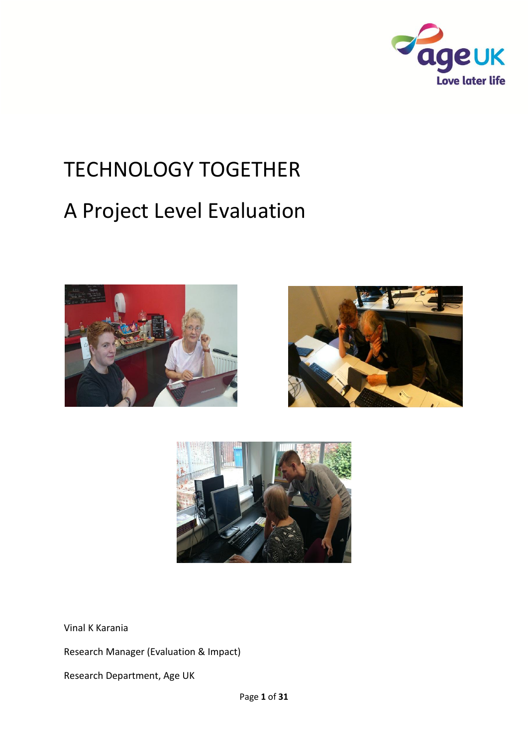

# TECHNOLOGY TOGETHER

## A Project Level Evaluation







Vinal K Karania

Research Manager (Evaluation & Impact)

Research Department, Age UK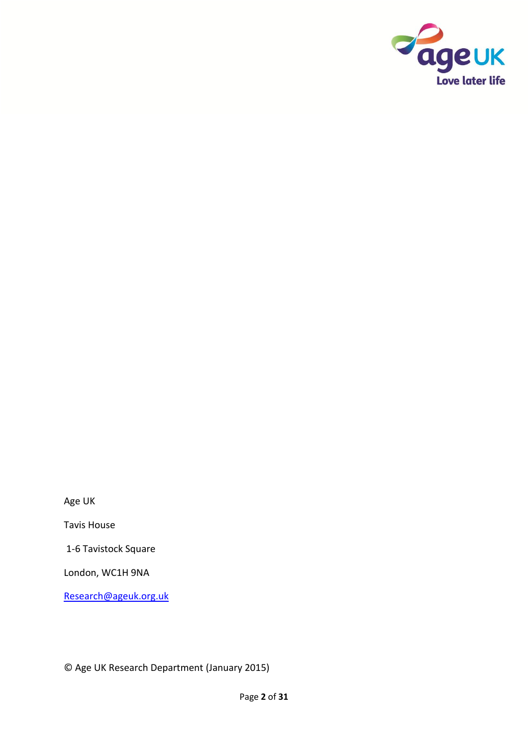

Age UK

Tavis House

1-6 Tavistock Square

London, WC1H 9NA

[Research@ageuk.org.uk](mailto:Research@ageuk.org.uk)

© Age UK Research Department (January 2015)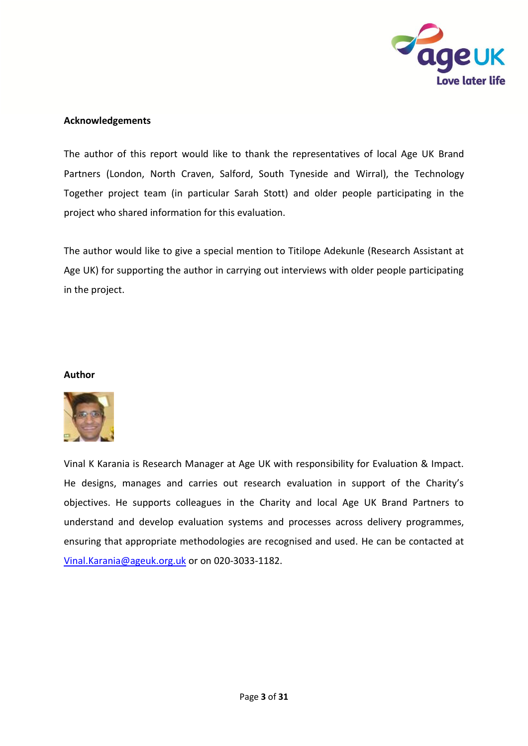

#### **Acknowledgements**

The author of this report would like to thank the representatives of local Age UK Brand Partners (London, North Craven, Salford, South Tyneside and Wirral), the Technology Together project team (in particular Sarah Stott) and older people participating in the project who shared information for this evaluation.

The author would like to give a special mention to Titilope Adekunle (Research Assistant at Age UK) for supporting the author in carrying out interviews with older people participating in the project.

#### **Author**



Vinal K Karania is Research Manager at Age UK with responsibility for Evaluation & Impact. He designs, manages and carries out research evaluation in support of the Charity's objectives. He supports colleagues in the Charity and local Age UK Brand Partners to understand and develop evaluation systems and processes across delivery programmes, ensuring that appropriate methodologies are recognised and used. He can be contacted at [Vinal.Karania@ageuk.org.uk](mailto:Vinal.Karania@ageuk.org.uk) or on 020-3033-1182.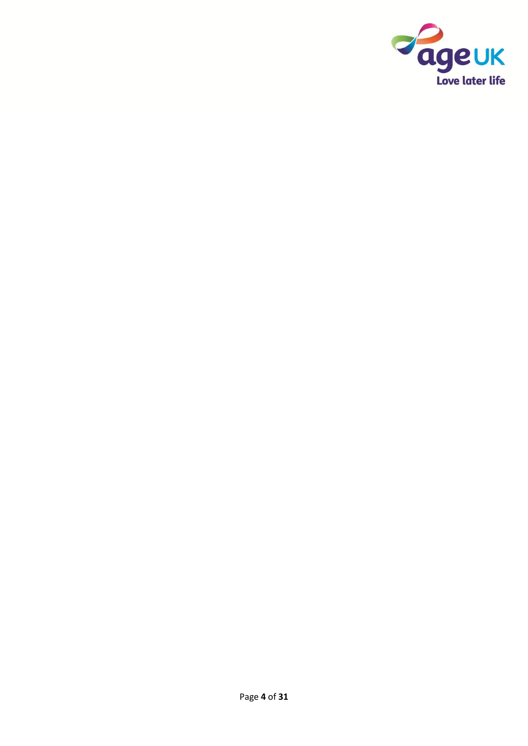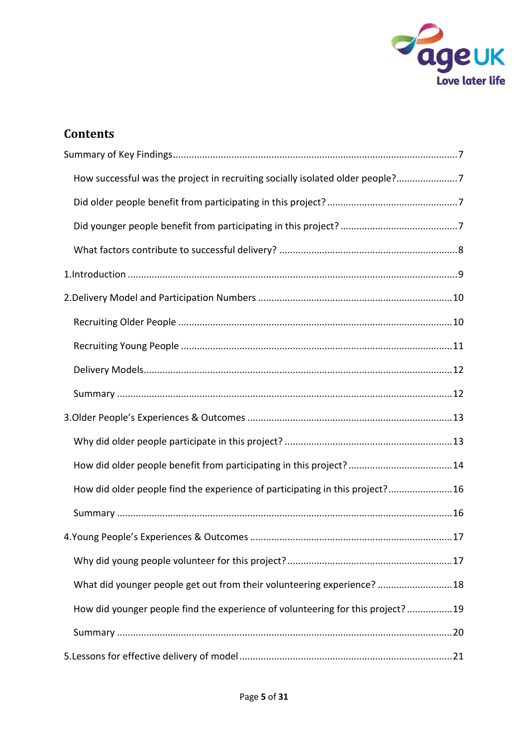

### **Contents**

| How successful was the project in recruiting socially isolated older people?7  |
|--------------------------------------------------------------------------------|
|                                                                                |
|                                                                                |
|                                                                                |
|                                                                                |
|                                                                                |
|                                                                                |
|                                                                                |
|                                                                                |
|                                                                                |
|                                                                                |
|                                                                                |
|                                                                                |
| How did older people find the experience of participating in this project?16   |
|                                                                                |
|                                                                                |
|                                                                                |
| What did younger people get out from their volunteering experience? 18         |
| How did younger people find the experience of volunteering for this project?19 |
|                                                                                |
|                                                                                |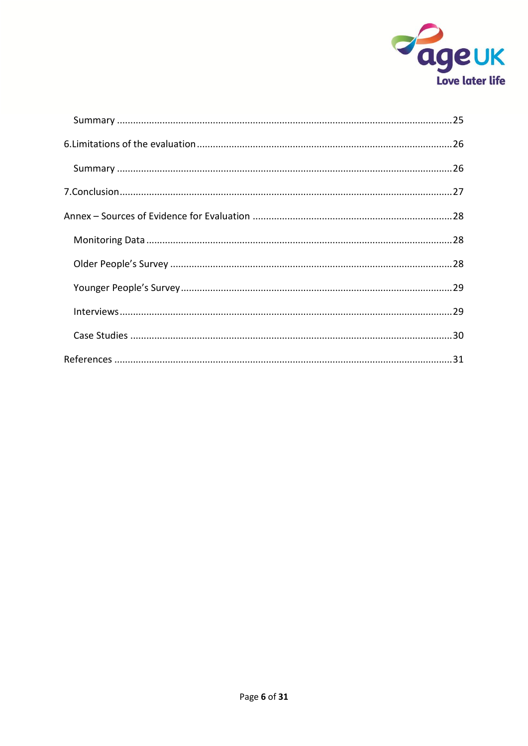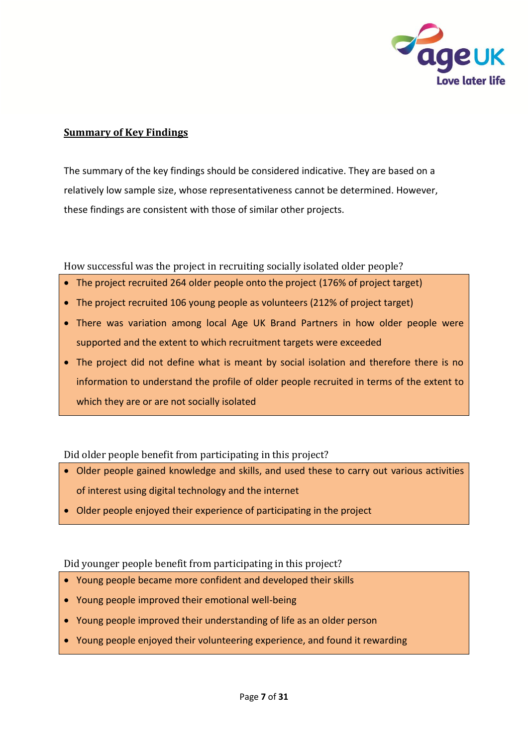

#### <span id="page-6-0"></span>**Summary of Key Findings**

The summary of the key findings should be considered indicative. They are based on a relatively low sample size, whose representativeness cannot be determined. However, these findings are consistent with those of similar other projects.

#### <span id="page-6-1"></span>How successful was the project in recruiting socially isolated older people?

- The project recruited 264 older people onto the project (176% of project target)
- The project recruited 106 young people as volunteers (212% of project target)
- There was variation among local Age UK Brand Partners in how older people were supported and the extent to which recruitment targets were exceeded
- The project did not define what is meant by social isolation and therefore there is no information to understand the profile of older people recruited in terms of the extent to which they are or are not socially isolated

#### <span id="page-6-2"></span>Did older people benefit from participating in this project?

- Older people gained knowledge and skills, and used these to carry out various activities of interest using digital technology and the internet
- Older people enjoyed their experience of participating in the project

#### <span id="page-6-3"></span>Did younger people benefit from participating in this project?

- Young people became more confident and developed their skills
- Young people improved their emotional well-being
- Young people improved their understanding of life as an older person
- Young people enjoyed their volunteering experience, and found it rewarding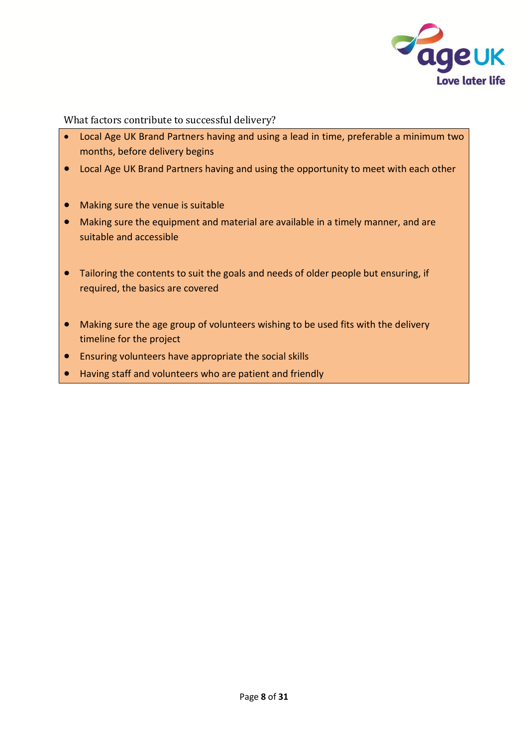

<span id="page-7-0"></span>What factors contribute to successful delivery?

- Local Age UK Brand Partners having and using a lead in time, preferable a minimum two months, before delivery begins
- Local Age UK Brand Partners having and using the opportunity to meet with each other
- Making sure the venue is suitable
- Making sure the equipment and material are available in a timely manner, and are suitable and accessible
- Tailoring the contents to suit the goals and needs of older people but ensuring, if required, the basics are covered
- Making sure the age group of volunteers wishing to be used fits with the delivery timeline for the project
- Ensuring volunteers have appropriate the social skills
- Having staff and volunteers who are patient and friendly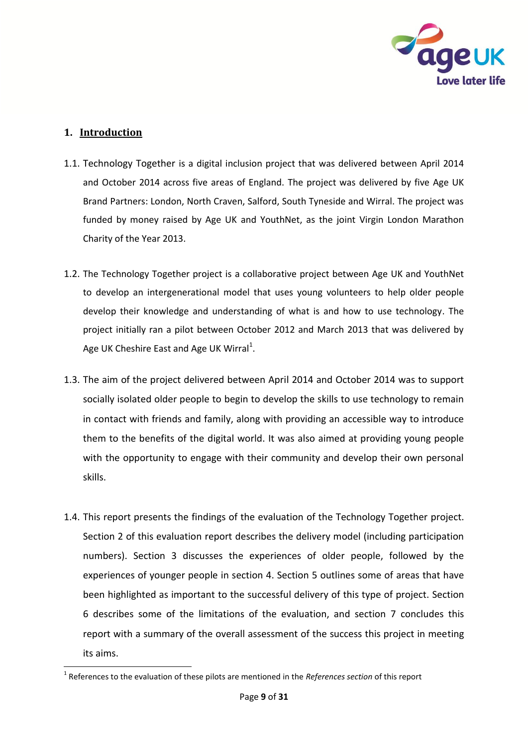

#### <span id="page-8-0"></span>**1. Introduction**

**.** 

- 1.1. Technology Together is a digital inclusion project that was delivered between April 2014 and October 2014 across five areas of England. The project was delivered by five Age UK Brand Partners: London, North Craven, Salford, South Tyneside and Wirral. The project was funded by money raised by Age UK and YouthNet, as the joint Virgin London Marathon Charity of the Year 2013.
- 1.2. The Technology Together project is a collaborative project between Age UK and YouthNet to develop an intergenerational model that uses young volunteers to help older people develop their knowledge and understanding of what is and how to use technology. The project initially ran a pilot between October 2012 and March 2013 that was delivered by Age UK Cheshire East and Age UK Wirral<sup>1</sup>.
- 1.3. The aim of the project delivered between April 2014 and October 2014 was to support socially isolated older people to begin to develop the skills to use technology to remain in contact with friends and family, along with providing an accessible way to introduce them to the benefits of the digital world. It was also aimed at providing young people with the opportunity to engage with their community and develop their own personal skills.
- 1.4. This report presents the findings of the evaluation of the Technology Together project. Section 2 of this evaluation report describes the delivery model (including participation numbers). Section 3 discusses the experiences of older people, followed by the experiences of younger people in section 4. Section 5 outlines some of areas that have been highlighted as important to the successful delivery of this type of project. Section 6 describes some of the limitations of the evaluation, and section 7 concludes this report with a summary of the overall assessment of the success this project in meeting its aims.

<sup>1</sup> References to the evaluation of these pilots are mentioned in the *References section* of this report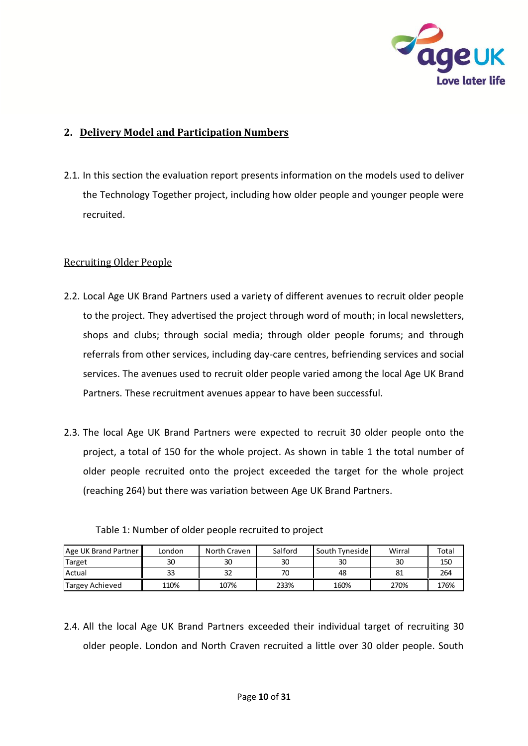

#### <span id="page-9-0"></span>**2. Delivery Model and Participation Numbers**

2.1. In this section the evaluation report presents information on the models used to deliver the Technology Together project, including how older people and younger people were recruited.

#### <span id="page-9-1"></span>Recruiting Older People

- 2.2. Local Age UK Brand Partners used a variety of different avenues to recruit older people to the project. They advertised the project through word of mouth; in local newsletters, shops and clubs; through social media; through older people forums; and through referrals from other services, including day-care centres, befriending services and social services. The avenues used to recruit older people varied among the local Age UK Brand Partners. These recruitment avenues appear to have been successful.
- 2.3. The local Age UK Brand Partners were expected to recruit 30 older people onto the project, a total of 150 for the whole project. As shown in table 1 the total number of older people recruited onto the project exceeded the target for the whole project (reaching 264) but there was variation between Age UK Brand Partners.

| Age UK Brand Partner | London | North Craven | Salford | South Tyneside | Wirral | Total |
|----------------------|--------|--------------|---------|----------------|--------|-------|
| Target               | 30     | 30           | 30      | 30             | 30     | 150   |
| Actual               | 33     | 32           | 70      | 48             | 81     | 264   |
| Targey Achieved      | 110%   | 107%         | 233%    | 160%           | 270%   | 176%  |

Table 1: Number of older people recruited to project

2.4. All the local Age UK Brand Partners exceeded their individual target of recruiting 30 older people. London and North Craven recruited a little over 30 older people. South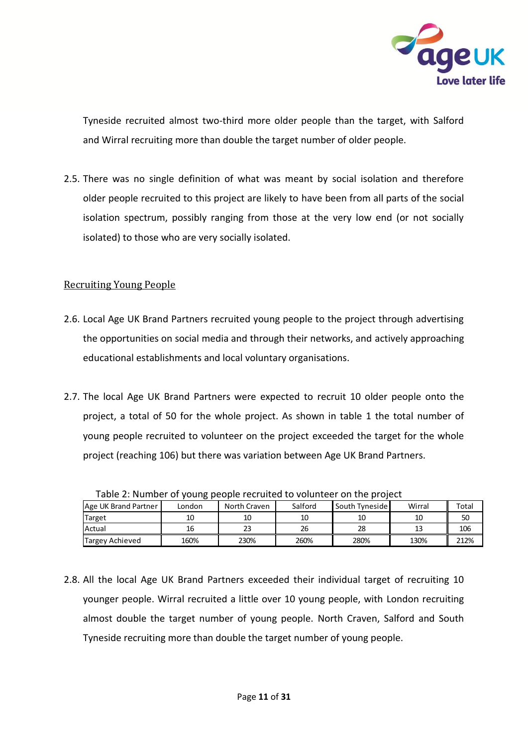

Tyneside recruited almost two-third more older people than the target, with Salford and Wirral recruiting more than double the target number of older people.

2.5. There was no single definition of what was meant by social isolation and therefore older people recruited to this project are likely to have been from all parts of the social isolation spectrum, possibly ranging from those at the very low end (or not socially isolated) to those who are very socially isolated.

#### <span id="page-10-0"></span>Recruiting Young People

- 2.6. Local Age UK Brand Partners recruited young people to the project through advertising the opportunities on social media and through their networks, and actively approaching educational establishments and local voluntary organisations.
- 2.7. The local Age UK Brand Partners were expected to recruit 10 older people onto the project, a total of 50 for the whole project. As shown in table 1 the total number of young people recruited to volunteer on the project exceeded the target for the whole project (reaching 106) but there was variation between Age UK Brand Partners.

| $\frac{1}{2}$ and $\frac{1}{2}$ . The model of $\frac{1}{2}$ below to the condition of the project |        |              |         |                |        |       |
|----------------------------------------------------------------------------------------------------|--------|--------------|---------|----------------|--------|-------|
| Age UK Brand Partner                                                                               | London | North Craven | Salford | South Tyneside | Wirral | Total |
| Target                                                                                             |        | 10           | 10      | 10             |        | 50    |
| Actual                                                                                             | 16     |              | 26      | 28             |        | 106   |
| <b>Targey Achieved</b>                                                                             | 160%   | 230%         | 260%    | 280%           | 130%   | 212%  |

Table 2: Number of young people recruited to volunteer on the project

2.8. All the local Age UK Brand Partners exceeded their individual target of recruiting 10 younger people. Wirral recruited a little over 10 young people, with London recruiting almost double the target number of young people. North Craven, Salford and South Tyneside recruiting more than double the target number of young people.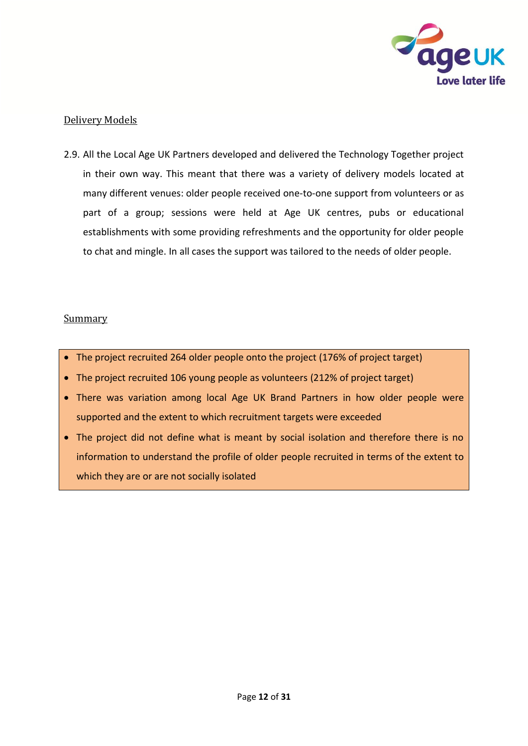

#### <span id="page-11-0"></span>Delivery Models

2.9. All the Local Age UK Partners developed and delivered the Technology Together project in their own way. This meant that there was a variety of delivery models located at many different venues: older people received one-to-one support from volunteers or as part of a group; sessions were held at Age UK centres, pubs or educational establishments with some providing refreshments and the opportunity for older people to chat and mingle. In all cases the support was tailored to the needs of older people.

#### <span id="page-11-1"></span>**Summary**

- The project recruited 264 older people onto the project (176% of project target)
- The project recruited 106 young people as volunteers (212% of project target)
- There was variation among local Age UK Brand Partners in how older people were supported and the extent to which recruitment targets were exceeded
- The project did not define what is meant by social isolation and therefore there is no information to understand the profile of older people recruited in terms of the extent to which they are or are not socially isolated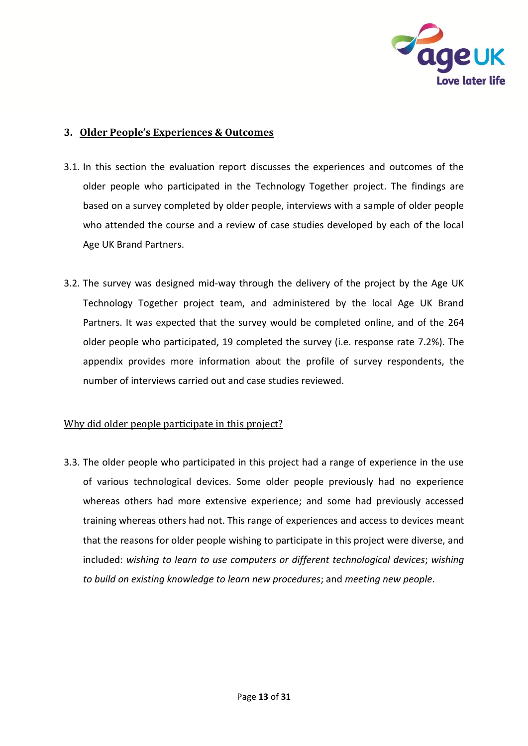

#### <span id="page-12-0"></span>**3. Older People's Experiences & Outcomes**

- 3.1. In this section the evaluation report discusses the experiences and outcomes of the older people who participated in the Technology Together project. The findings are based on a survey completed by older people, interviews with a sample of older people who attended the course and a review of case studies developed by each of the local Age UK Brand Partners.
- 3.2. The survey was designed mid-way through the delivery of the project by the Age UK Technology Together project team, and administered by the local Age UK Brand Partners. It was expected that the survey would be completed online, and of the 264 older people who participated, 19 completed the survey (i.e. response rate 7.2%). The appendix provides more information about the profile of survey respondents, the number of interviews carried out and case studies reviewed.

#### <span id="page-12-1"></span>Why did older people participate in this project?

3.3. The older people who participated in this project had a range of experience in the use of various technological devices. Some older people previously had no experience whereas others had more extensive experience; and some had previously accessed training whereas others had not. This range of experiences and access to devices meant that the reasons for older people wishing to participate in this project were diverse, and included: *wishing to learn to use computers or different technological devices*; *wishing to build on existing knowledge to learn new procedures*; and *meeting new people*.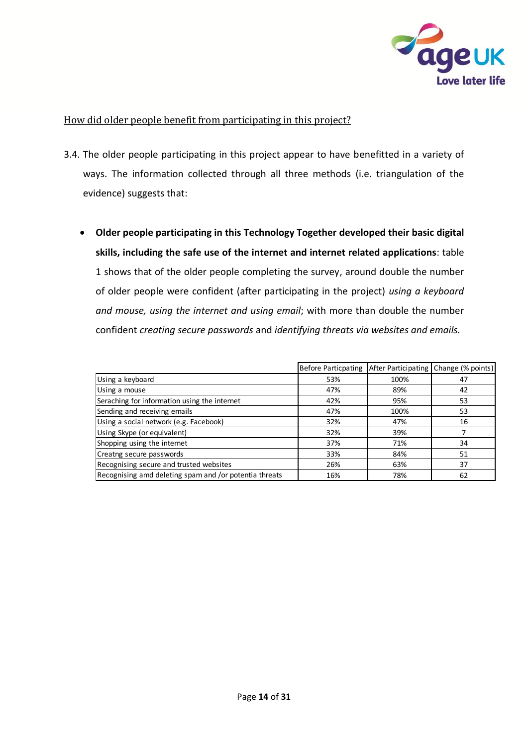

#### <span id="page-13-0"></span>How did older people benefit from participating in this project?

- 3.4. The older people participating in this project appear to have benefitted in a variety of ways. The information collected through all three methods (i.e. triangulation of the evidence) suggests that:
	- **Older people participating in this Technology Together developed their basic digital skills, including the safe use of the internet and internet related applications**: table 1 shows that of the older people completing the survey, around double the number of older people were confident (after participating in the project) *using a keyboard and mouse, using the internet and using email*; with more than double the number confident *creating secure passwords* and *identifying threats via websites and emails.*

|                                                        | <b>Before Particpating</b> | After Participating Change (% points) |    |
|--------------------------------------------------------|----------------------------|---------------------------------------|----|
| Using a keyboard                                       | 53%                        | 100%                                  | 47 |
| Using a mouse                                          | 47%                        | 89%                                   | 42 |
| Seraching for information using the internet           | 42%                        | 95%                                   | 53 |
| Sending and receiving emails                           | 47%                        | 100%                                  | 53 |
| Using a social network (e.g. Facebook)                 | 32%                        | 47%                                   | 16 |
| Using Skype (or equivalent)                            | 32%                        | 39%                                   |    |
| Shopping using the internet                            | 37%                        | 71%                                   | 34 |
| Creatng secure passwords                               | 33%                        | 84%                                   | 51 |
| Recognising secure and trusted websites                | 26%                        | 63%                                   | 37 |
| Recognising amd deleting spam and /or potentia threats | 16%                        | 78%                                   | 62 |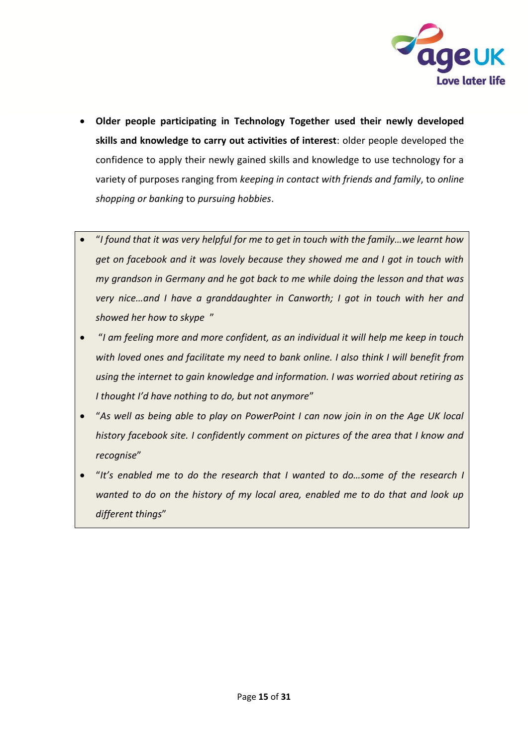

- **Older people participating in Technology Together used their newly developed skills and knowledge to carry out activities of interest**: older people developed the confidence to apply their newly gained skills and knowledge to use technology for a variety of purposes ranging from *keeping in contact with friends and family*, to *online shopping or banking* to *pursuing hobbies*.
- "*I found that it was very helpful for me to get in touch with the family…we learnt how get on facebook and it was lovely because they showed me and I got in touch with my grandson in Germany and he got back to me while doing the lesson and that was very nice…and I have a granddaughter in Canworth; I got in touch with her and showed her how to skype* "
- "*I am feeling more and more confident, as an individual it will help me keep in touch with loved ones and facilitate my need to bank online. I also think I will benefit from using the internet to gain knowledge and information. I was worried about retiring as I thought I'd have nothing to do, but not anymore*"
- "*As well as being able to play on PowerPoint I can now join in on the Age UK local history facebook site. I confidently comment on pictures of the area that I know and recognise*"
- "It's enabled me to do the research that I wanted to do...some of the research I *wanted to do on the history of my local area, enabled me to do that and look up different things*"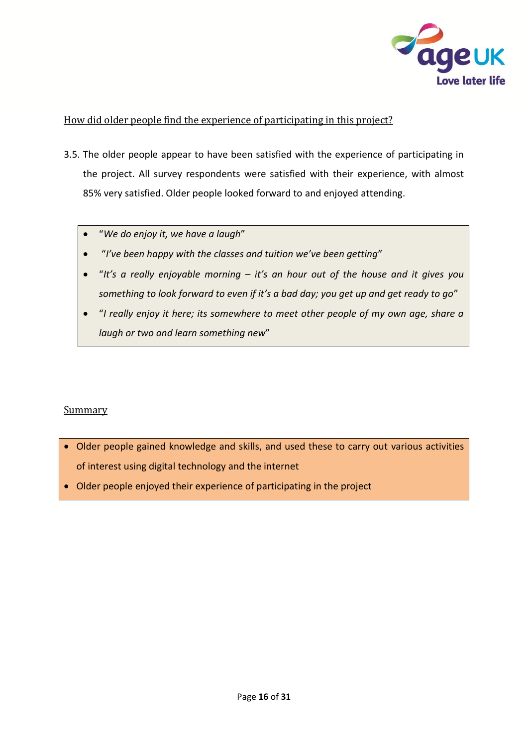

#### <span id="page-15-0"></span>How did older people find the experience of participating in this project?

- 3.5. The older people appear to have been satisfied with the experience of participating in the project. All survey respondents were satisfied with their experience, with almost 85% very satisfied. Older people looked forward to and enjoyed attending.
	- "*We do enjoy it, we have a laugh*"
	- "*I've been happy with the classes and tuition we've been getting*"
	- "*It's a really enjoyable morning – it's an hour out of the house and it gives you something to look forward to even if it's a bad day; you get up and get ready to go*"
	- "*I really enjoy it here; its somewhere to meet other people of my own age, share a laugh or two and learn something new*"

#### <span id="page-15-1"></span>**Summary**

- Older people gained knowledge and skills, and used these to carry out various activities of interest using digital technology and the internet
- Older people enjoyed their experience of participating in the project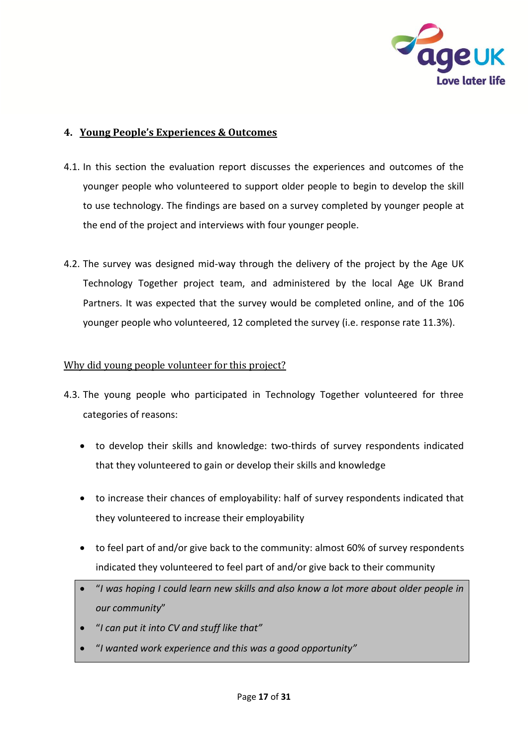

#### <span id="page-16-0"></span>**4. Young People's Experiences & Outcomes**

- 4.1. In this section the evaluation report discusses the experiences and outcomes of the younger people who volunteered to support older people to begin to develop the skill to use technology. The findings are based on a survey completed by younger people at the end of the project and interviews with four younger people.
- 4.2. The survey was designed mid-way through the delivery of the project by the Age UK Technology Together project team, and administered by the local Age UK Brand Partners. It was expected that the survey would be completed online, and of the 106 younger people who volunteered, 12 completed the survey (i.e. response rate 11.3%).

#### <span id="page-16-1"></span>Why did young people volunteer for this project?

- 4.3. The young people who participated in Technology Together volunteered for three categories of reasons:
	- to develop their skills and knowledge: two-thirds of survey respondents indicated that they volunteered to gain or develop their skills and knowledge
	- to increase their chances of employability: half of survey respondents indicated that they volunteered to increase their employability
	- to feel part of and/or give back to the community: almost 60% of survey respondents indicated they volunteered to feel part of and/or give back to their community
	- "*I was hoping I could learn new skills and also know a lot more about older people in our community*"
	- "*I can put it into CV and stuff like that"*
	- "*I wanted work experience and this was a good opportunity"*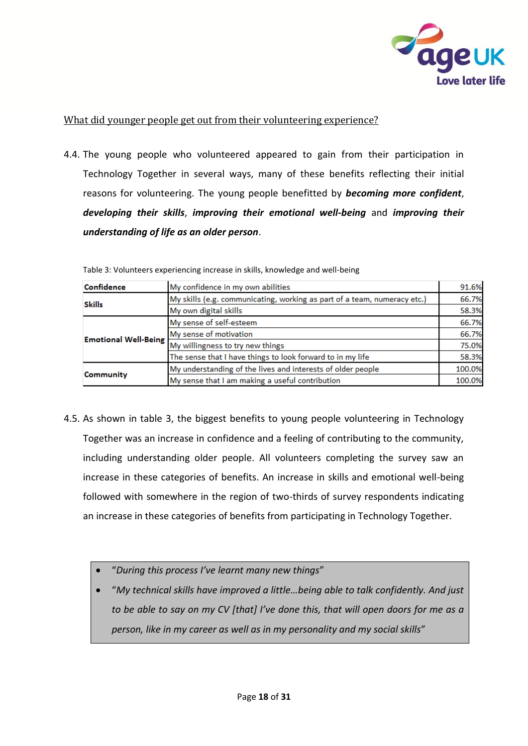

#### <span id="page-17-0"></span>What did younger people get out from their volunteering experience?

4.4. The young people who volunteered appeared to gain from their participation in Technology Together in several ways, many of these benefits reflecting their initial reasons for volunteering. The young people benefitted by *becoming more confident*, *developing their skills*, *improving their emotional well-being* and *improving their understanding of life as an older person*.

| <b>Confidence</b>           | My confidence in my own abilities                                        |        |  |
|-----------------------------|--------------------------------------------------------------------------|--------|--|
| <b>Skills</b>               | My skills (e.g. communicating, working as part of a team, numeracy etc.) | 66.7%  |  |
|                             | My own digital skills                                                    | 58.3%  |  |
| <b>Emotional Well-Being</b> | My sense of self-esteem                                                  | 66.7%  |  |
|                             | My sense of motivation                                                   | 66.7%  |  |
|                             | My willingness to try new things                                         | 75.0%  |  |
|                             | The sense that I have things to look forward to in my life               | 58.3%  |  |
|                             | My understanding of the lives and interests of older people              | 100.0% |  |
| Community                   | My sense that I am making a useful contribution                          | 100.0% |  |

Table 3: Volunteers experiencing increase in skills, knowledge and well-being

- 4.5. As shown in table 3, the biggest benefits to young people volunteering in Technology Together was an increase in confidence and a feeling of contributing to the community, including understanding older people. All volunteers completing the survey saw an increase in these categories of benefits. An increase in skills and emotional well-being followed with somewhere in the region of two-thirds of survey respondents indicating an increase in these categories of benefits from participating in Technology Together.
	- "*During this process I've learnt many new things*"
	- "*My technical skills have improved a little…being able to talk confidently. And just to be able to say on my CV [that] I've done this, that will open doors for me as a person, like in my career as well as in my personality and my social skills*"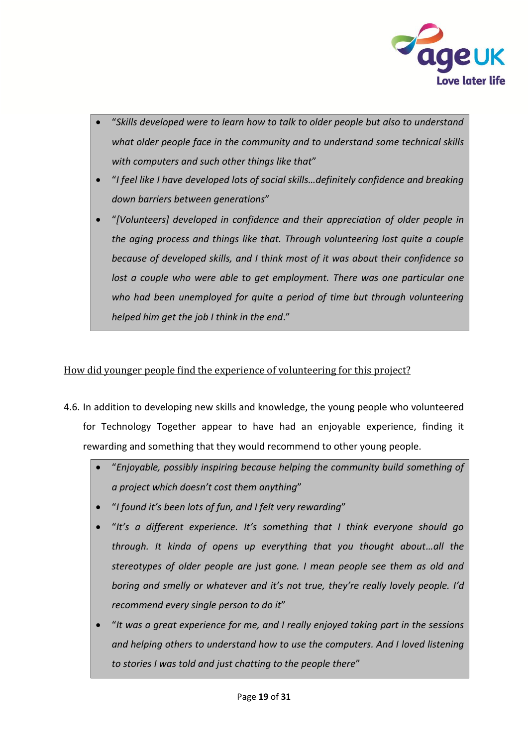

- "*Skills developed were to learn how to talk to older people but also to understand what older people face in the community and to understand some technical skills with computers and such other things like that*"
- "*I feel like I have developed lots of social skills…definitely confidence and breaking down barriers between generations*"
- "*[Volunteers] developed in confidence and their appreciation of older people in the aging process and things like that. Through volunteering lost quite a couple because of developed skills, and I think most of it was about their confidence so lost a couple who were able to get employment. There was one particular one who had been unemployed for quite a period of time but through volunteering helped him get the job I think in the end*."

#### <span id="page-18-0"></span>How did younger people find the experience of volunteering for this project?

- 4.6. In addition to developing new skills and knowledge, the young people who volunteered for Technology Together appear to have had an enjoyable experience, finding it rewarding and something that they would recommend to other young people.
	- "*Enjoyable, possibly inspiring because helping the community build something of a project which doesn't cost them anything*"
	- "*I found it's been lots of fun, and I felt very rewarding*"
	- "*It's a different experience. It's something that I think everyone should go through. It kinda of opens up everything that you thought about…all the stereotypes of older people are just gone. I mean people see them as old and boring and smelly or whatever and it's not true, they're really lovely people. I'd recommend every single person to do it*"
	- "*It was a great experience for me, and I really enjoyed taking part in the sessions and helping others to understand how to use the computers. And I loved listening to stories I was told and just chatting to the people there*"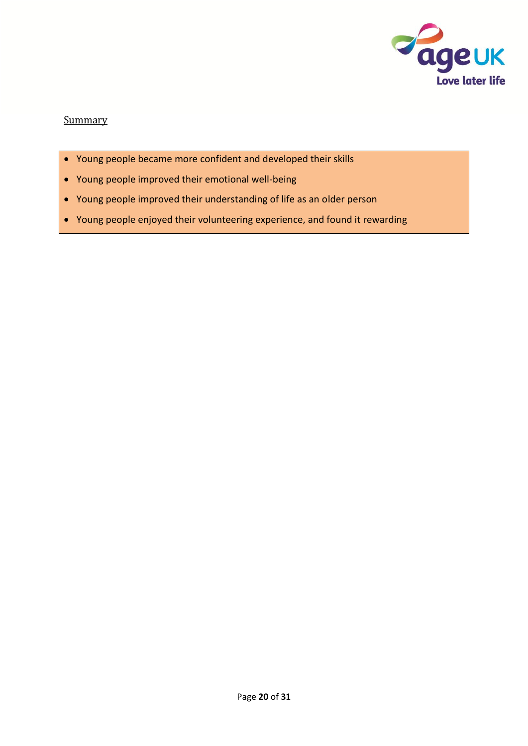

#### <span id="page-19-0"></span>**Summary**

- Young people became more confident and developed their skills
- Young people improved their emotional well-being
- Young people improved their understanding of life as an older person
- Young people enjoyed their volunteering experience, and found it rewarding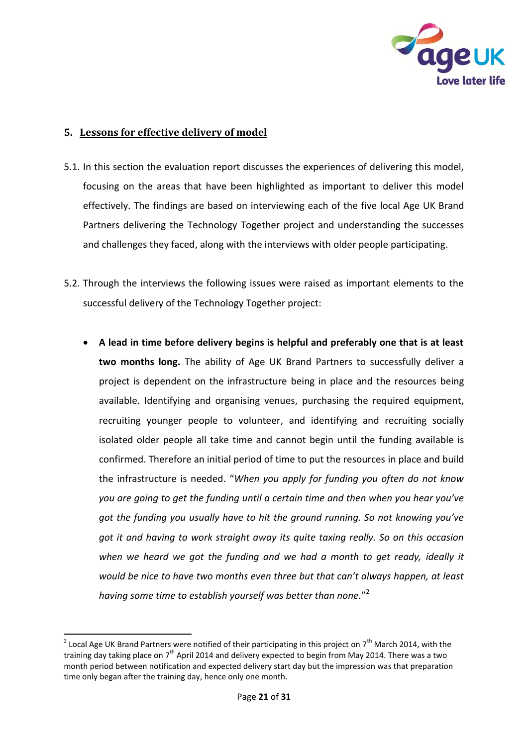

#### <span id="page-20-0"></span>**5. Lessons for effective delivery of model**

- 5.1. In this section the evaluation report discusses the experiences of delivering this model, focusing on the areas that have been highlighted as important to deliver this model effectively. The findings are based on interviewing each of the five local Age UK Brand Partners delivering the Technology Together project and understanding the successes and challenges they faced, along with the interviews with older people participating.
- 5.2. Through the interviews the following issues were raised as important elements to the successful delivery of the Technology Together project:
	- **A lead in time before delivery begins is helpful and preferably one that is at least two months long.** The ability of Age UK Brand Partners to successfully deliver a project is dependent on the infrastructure being in place and the resources being available. Identifying and organising venues, purchasing the required equipment, recruiting younger people to volunteer, and identifying and recruiting socially isolated older people all take time and cannot begin until the funding available is confirmed. Therefore an initial period of time to put the resources in place and build the infrastructure is needed. "*When you apply for funding you often do not know you are going to get the funding until a certain time and then when you hear you've got the funding you usually have to hit the ground running. So not knowing you've got it and having to work straight away its quite taxing really. So on this occasion*  when we heard we got the funding and we had a month to get ready, ideally it *would be nice to have two months even three but that can't always happen, at least having some time to establish yourself was better than none.*" 2

**.** 

<sup>&</sup>lt;sup>2</sup> Local Age UK Brand Partners were notified of their participating in this project on 7<sup>th</sup> March 2014, with the training day taking place on  $7<sup>th</sup>$  April 2014 and delivery expected to begin from May 2014. There was a two month period between notification and expected delivery start day but the impression was that preparation time only began after the training day, hence only one month.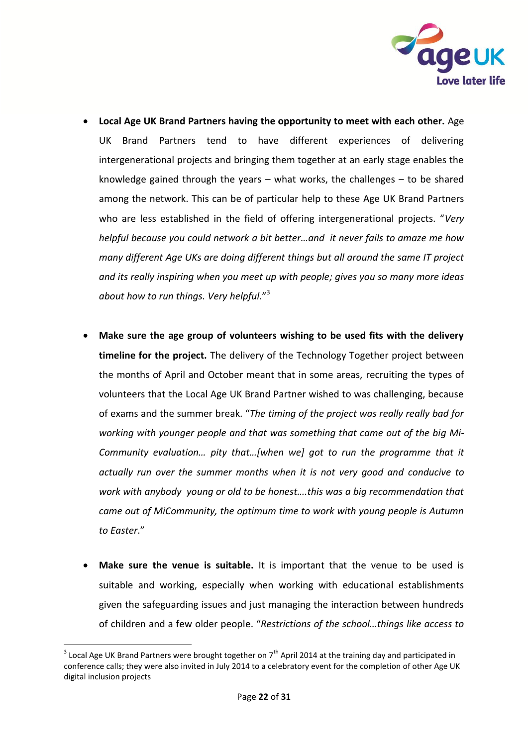

- **Local Age UK Brand Partners having the opportunity to meet with each other.** Age UK Brand Partners tend to have different experiences of delivering intergenerational projects and bringing them together at an early stage enables the knowledge gained through the years – what works, the challenges – to be shared among the network. This can be of particular help to these Age UK Brand Partners who are less established in the field of offering intergenerational projects. "*Very helpful because you could network a bit better…and it never fails to amaze me how many different Age UKs are doing different things but all around the same IT project and its really inspiring when you meet up with people; gives you so many more ideas about how to run things. Very helpful.*" 3
- **Make sure the age group of volunteers wishing to be used fits with the delivery timeline for the project.** The delivery of the Technology Together project between the months of April and October meant that in some areas, recruiting the types of volunteers that the Local Age UK Brand Partner wished to was challenging, because of exams and the summer break. "*The timing of the project was really really bad for working with younger people and that was something that came out of the big Mi-Community evaluation… pity that…[when we] got to run the programme that it actually run over the summer months when it is not very good and conducive to work with anybody young or old to be honest….this was a big recommendation that came out of MiCommunity, the optimum time to work with young people is Autumn to Easter*."
- **Make sure the venue is suitable.** It is important that the venue to be used is suitable and working, especially when working with educational establishments given the safeguarding issues and just managing the interaction between hundreds of children and a few older people. "*Restrictions of the school…things like access to*

**.** 

<sup>&</sup>lt;sup>3</sup> Local Age UK Brand Partners were brought together on 7<sup>th</sup> April 2014 at the training day and participated in conference calls; they were also invited in July 2014 to a celebratory event for the completion of other Age UK digital inclusion projects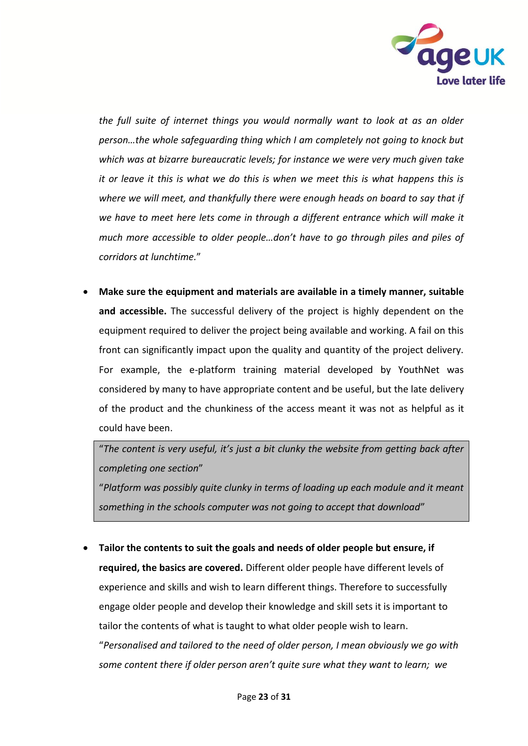

*the full suite of internet things you would normally want to look at as an older person…the whole safeguarding thing which I am completely not going to knock but which was at bizarre bureaucratic levels; for instance we were very much given take it or leave it this is what we do this is when we meet this is what happens this is where we will meet, and thankfully there were enough heads on board to say that if we have to meet here lets come in through a different entrance which will make it much more accessible to older people…don't have to go through piles and piles of corridors at lunchtime.*"

 **Make sure the equipment and materials are available in a timely manner, suitable and accessible.** The successful delivery of the project is highly dependent on the equipment required to deliver the project being available and working. A fail on this front can significantly impact upon the quality and quantity of the project delivery. For example, the e-platform training material developed by YouthNet was considered by many to have appropriate content and be useful, but the late delivery of the product and the chunkiness of the access meant it was not as helpful as it could have been.

"*The content is very useful, it's just a bit clunky the website from getting back after completing one section*"

"*Platform was possibly quite clunky in terms of loading up each module and it meant something in the schools computer was not going to accept that download*"

 **Tailor the contents to suit the goals and needs of older people but ensure, if required, the basics are covered.** Different older people have different levels of experience and skills and wish to learn different things. Therefore to successfully engage older people and develop their knowledge and skill sets it is important to tailor the contents of what is taught to what older people wish to learn. "*Personalised and tailored to the need of older person, I mean obviously we go with some content there if older person aren't quite sure what they want to learn; we*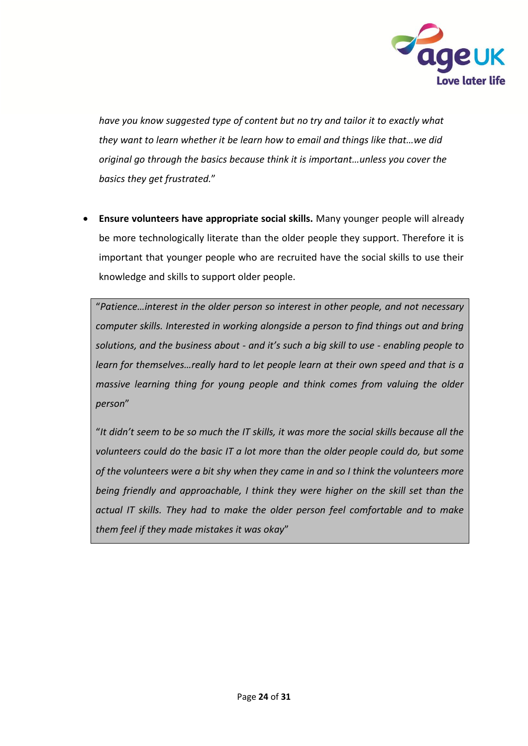

*have you know suggested type of content but no try and tailor it to exactly what they want to learn whether it be learn how to email and things like that…we did original go through the basics because think it is important…unless you cover the basics they get frustrated.*"

 **Ensure volunteers have appropriate social skills.** Many younger people will already be more technologically literate than the older people they support. Therefore it is important that younger people who are recruited have the social skills to use their knowledge and skills to support older people.

"*Patience…interest in the older person so interest in other people, and not necessary computer skills. Interested in working alongside a person to find things out and bring solutions, and the business about - and it's such a big skill to use - enabling people to learn for themselves…really hard to let people learn at their own speed and that is a massive learning thing for young people and think comes from valuing the older person*"

"*It didn't seem to be so much the IT skills, it was more the social skills because all the volunteers could do the basic IT a lot more than the older people could do, but some of the volunteers were a bit shy when they came in and so I think the volunteers more being friendly and approachable, I think they were higher on the skill set than the actual IT skills. They had to make the older person feel comfortable and to make them feel if they made mistakes it was okay*"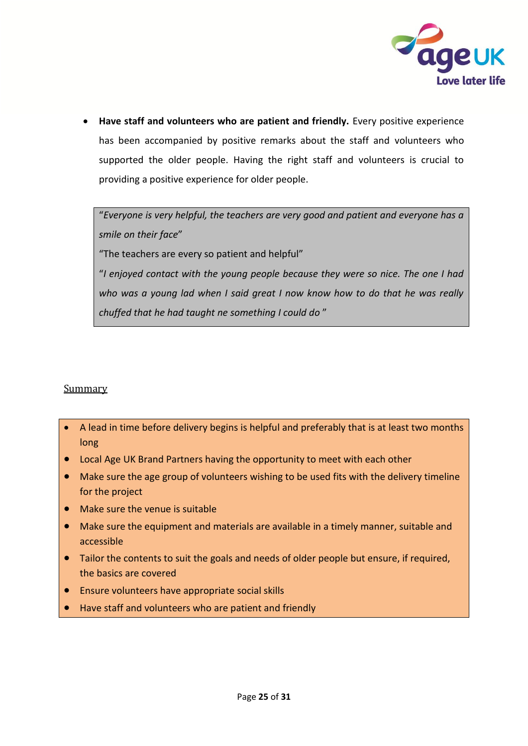

**• Have staff and volunteers who are patient and friendly.** Every positive experience has been accompanied by positive remarks about the staff and volunteers who supported the older people. Having the right staff and volunteers is crucial to providing a positive experience for older people.

"*Everyone is very helpful, the teachers are very good and patient and everyone has a smile on their face*"

"The teachers are every so patient and helpful"

"*I enjoyed contact with the young people because they were so nice. The one I had who was a young lad when I said great I now know how to do that he was really chuffed that he had taught ne something I could do* "

#### <span id="page-24-0"></span>**Summary**

- A lead in time before delivery begins is helpful and preferably that is at least two months long
- Local Age UK Brand Partners having the opportunity to meet with each other
- Make sure the age group of volunteers wishing to be used fits with the delivery timeline for the project
- Make sure the venue is suitable
- Make sure the equipment and materials are available in a timely manner, suitable and accessible
- Tailor the contents to suit the goals and needs of older people but ensure, if required, the basics are covered
- Ensure volunteers have appropriate social skills
- Have staff and volunteers who are patient and friendly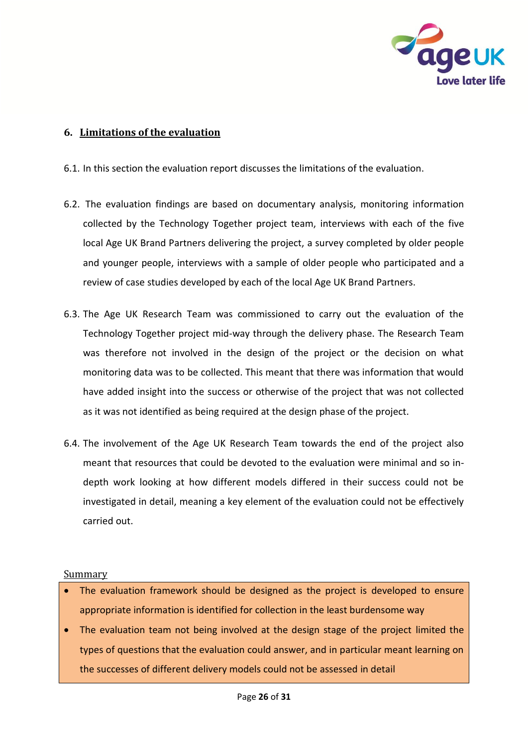

#### <span id="page-25-0"></span>**6. Limitations of the evaluation**

- 6.1. In this section the evaluation report discusses the limitations of the evaluation.
- 6.2. The evaluation findings are based on documentary analysis, monitoring information collected by the Technology Together project team, interviews with each of the five local Age UK Brand Partners delivering the project, a survey completed by older people and younger people, interviews with a sample of older people who participated and a review of case studies developed by each of the local Age UK Brand Partners.
- 6.3. The Age UK Research Team was commissioned to carry out the evaluation of the Technology Together project mid-way through the delivery phase. The Research Team was therefore not involved in the design of the project or the decision on what monitoring data was to be collected. This meant that there was information that would have added insight into the success or otherwise of the project that was not collected as it was not identified as being required at the design phase of the project.
- 6.4. The involvement of the Age UK Research Team towards the end of the project also meant that resources that could be devoted to the evaluation were minimal and so indepth work looking at how different models differed in their success could not be investigated in detail, meaning a key element of the evaluation could not be effectively carried out.

#### <span id="page-25-1"></span>Summary

- The evaluation framework should be designed as the project is developed to ensure appropriate information is identified for collection in the least burdensome way
- The evaluation team not being involved at the design stage of the project limited the types of questions that the evaluation could answer, and in particular meant learning on the successes of different delivery models could not be assessed in detail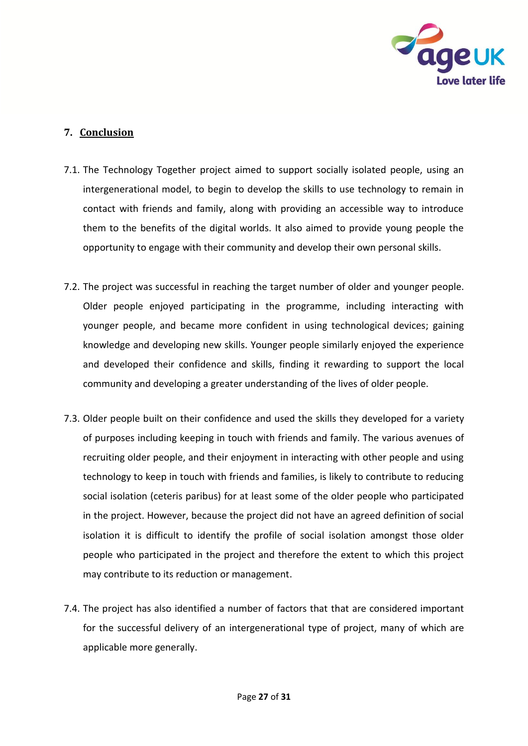

#### <span id="page-26-0"></span>**7. Conclusion**

- 7.1. The Technology Together project aimed to support socially isolated people, using an intergenerational model, to begin to develop the skills to use technology to remain in contact with friends and family, along with providing an accessible way to introduce them to the benefits of the digital worlds. It also aimed to provide young people the opportunity to engage with their community and develop their own personal skills.
- 7.2. The project was successful in reaching the target number of older and younger people. Older people enjoyed participating in the programme, including interacting with younger people, and became more confident in using technological devices; gaining knowledge and developing new skills. Younger people similarly enjoyed the experience and developed their confidence and skills, finding it rewarding to support the local community and developing a greater understanding of the lives of older people.
- 7.3. Older people built on their confidence and used the skills they developed for a variety of purposes including keeping in touch with friends and family. The various avenues of recruiting older people, and their enjoyment in interacting with other people and using technology to keep in touch with friends and families, is likely to contribute to reducing social isolation (ceteris paribus) for at least some of the older people who participated in the project. However, because the project did not have an agreed definition of social isolation it is difficult to identify the profile of social isolation amongst those older people who participated in the project and therefore the extent to which this project may contribute to its reduction or management.
- 7.4. The project has also identified a number of factors that that are considered important for the successful delivery of an intergenerational type of project, many of which are applicable more generally.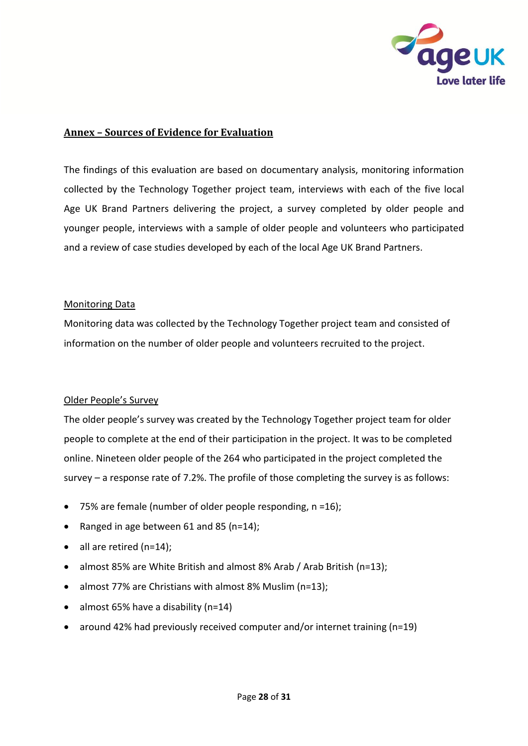

#### <span id="page-27-0"></span>**Annex – Sources of Evidence for Evaluation**

The findings of this evaluation are based on documentary analysis, monitoring information collected by the Technology Together project team, interviews with each of the five local Age UK Brand Partners delivering the project, a survey completed by older people and younger people, interviews with a sample of older people and volunteers who participated and a review of case studies developed by each of the local Age UK Brand Partners.

#### <span id="page-27-1"></span>Monitoring Data

Monitoring data was collected by the Technology Together project team and consisted of information on the number of older people and volunteers recruited to the project.

#### <span id="page-27-2"></span>Older People's Survey

The older people's survey was created by the Technology Together project team for older people to complete at the end of their participation in the project. It was to be completed online. Nineteen older people of the 264 who participated in the project completed the survey – a response rate of 7.2%. The profile of those completing the survey is as follows:

- 75% are female (number of older people responding, n =16);
- Ranged in age between  $61$  and  $85$  (n=14);
- $\bullet$  all are retired (n=14);
- almost 85% are White British and almost 8% Arab / Arab British (n=13);
- almost 77% are Christians with almost 8% Muslim (n=13);
- almost 65% have a disability  $(n=14)$
- around 42% had previously received computer and/or internet training (n=19)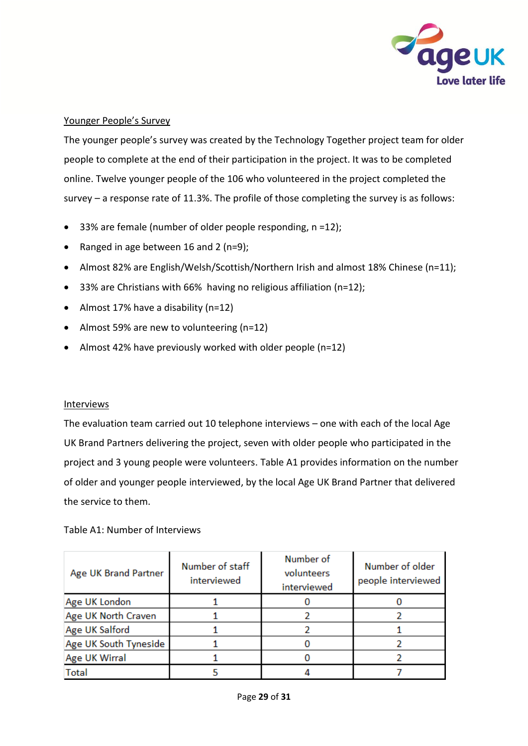

#### <span id="page-28-0"></span>Younger People's Survey

The younger people's survey was created by the Technology Together project team for older people to complete at the end of their participation in the project. It was to be completed online. Twelve younger people of the 106 who volunteered in the project completed the survey – a response rate of 11.3%. The profile of those completing the survey is as follows:

- 33% are female (number of older people responding, n =12);
- Ranged in age between 16 and 2 ( $n=9$ );
- Almost 82% are English/Welsh/Scottish/Northern Irish and almost 18% Chinese (n=11);
- 33% are Christians with 66% having no religious affiliation (n=12);
- Almost 17% have a disability  $(n=12)$
- Almost 59% are new to volunteering (n=12)
- Almost 42% have previously worked with older people (n=12)

#### <span id="page-28-1"></span>Interviews

The evaluation team carried out 10 telephone interviews – one with each of the local Age UK Brand Partners delivering the project, seven with older people who participated in the project and 3 young people were volunteers. Table A1 provides information on the number of older and younger people interviewed, by the local Age UK Brand Partner that delivered the service to them.

Table A1: Number of Interviews

| Age UK Brand Partner  | Number of staff<br>interviewed | Number of<br>volunteers<br>interviewed | Number of older<br>people interviewed |
|-----------------------|--------------------------------|----------------------------------------|---------------------------------------|
| Age UK London         |                                |                                        |                                       |
| Age UK North Craven   |                                |                                        |                                       |
| Age UK Salford        |                                |                                        |                                       |
| Age UK South Tyneside |                                |                                        |                                       |
| Age UK Wirral         |                                |                                        |                                       |
| <b>Total</b>          |                                |                                        |                                       |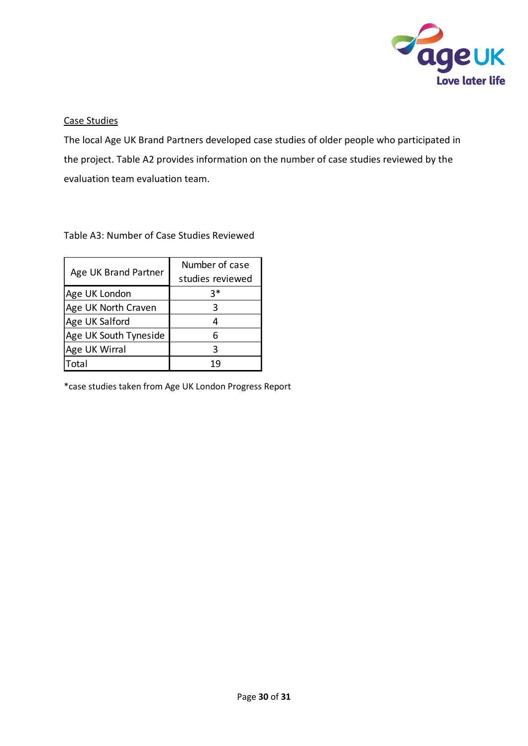

#### <span id="page-29-0"></span>Case Studies

The local Age UK Brand Partners developed case studies of older people who participated in the project. Table A2 provides information on the number of case studies reviewed by the evaluation team evaluation team.

Table A3: Number of Case Studies Reviewed

|                       | Number of case   |  |  |
|-----------------------|------------------|--|--|
| Age UK Brand Partner  | studies reviewed |  |  |
| Age UK London         | *?               |  |  |
| Age UK North Craven   | З                |  |  |
| Age UK Salford        |                  |  |  |
| Age UK South Tyneside |                  |  |  |
| Age UK Wirral         | З                |  |  |
| otal.                 | 1 Q              |  |  |

\*case studies taken from Age UK London Progress Report